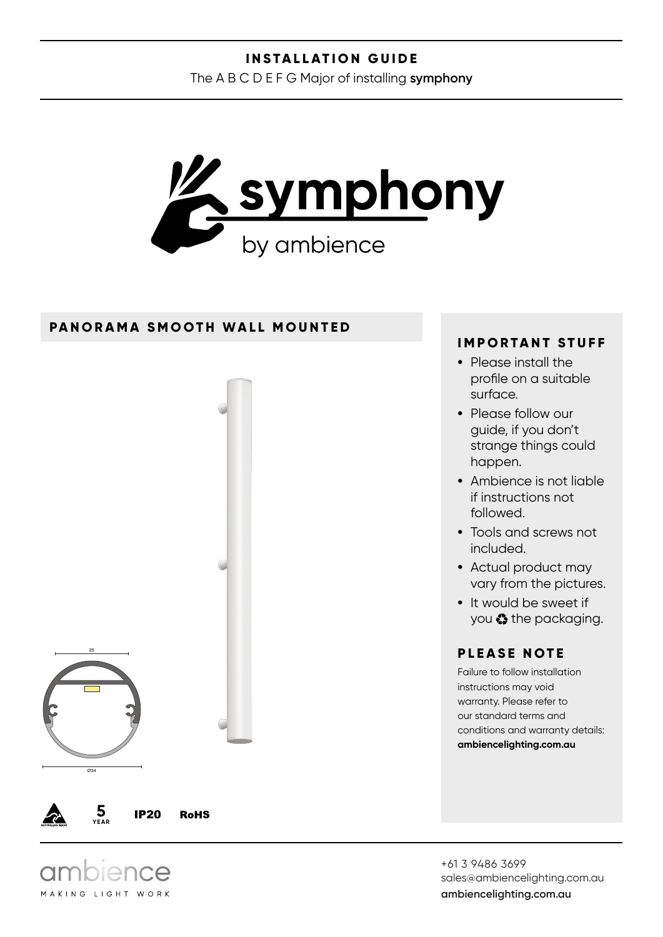#### **INSTALLATION GUIDE**

The A B C D E F G Major of installing **symphony**



#### **PANORAMA SMOOTH WALL MOUNTED**



MAKING LIGHT WORK

### **IMPORTANT STUFF**

- Please install the profile on a suitable surface.
- Please follow our guide, if you don't strange things could happen.
- Ambience is not liable if instructions not followed.
- Tools and screws not included.
- Actual product may vary from the pictures.
- It would be sweet if you  $\bullet$  the packaging.

## **PLEASE NOTE**

Failure to follow installation instructions may void warranty. Please refer to our standard terms and conditions and warranty details: **ambiencelighting.com.au**

+61 3 9486 3699 sales@ambiencelighting.com.au **ambiencelighting.com.au**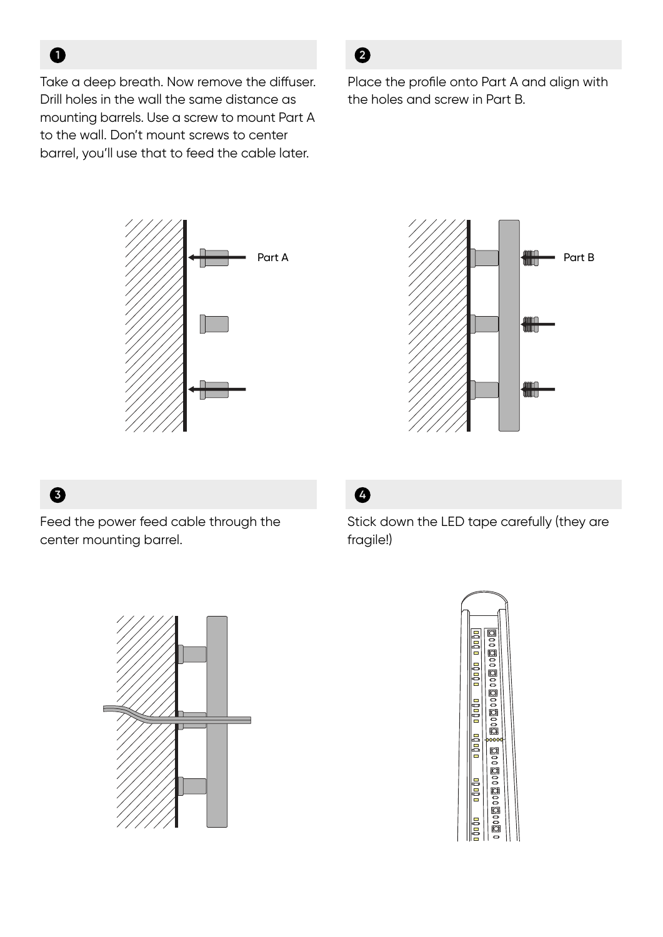Take a deep breath. Now remove the diffuser. Drill holes in the wall the same distance as mounting barrels. Use a screw to mount Part A to the wall. Don't mount screws to center barrel, you'll use that to feed the cable later.

# **2**

Place the profile onto Part A and align with the holes and screw in Part B.





# **3**

**1**

Feed the power feed cable through the center mounting barrel.



Stick down the LED tape carefully (they are fragile!)